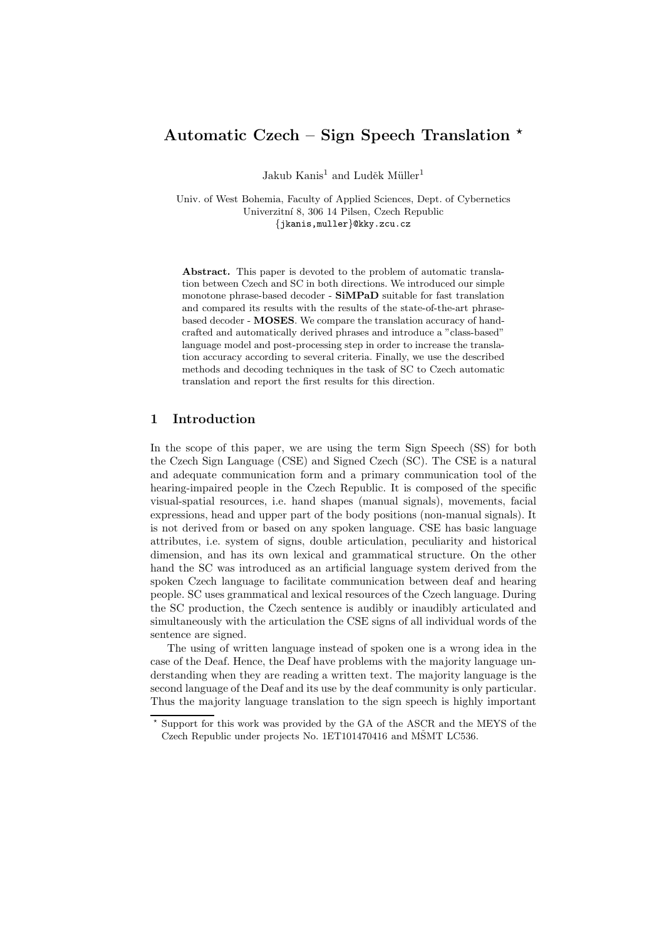# Automatic Czech – Sign Speech Translation  $\star$

Jakub Kanis<sup>1</sup> and Luděk Müller<sup>1</sup>

Univ. of West Bohemia, Faculty of Applied Sciences, Dept. of Cybernetics Univerzitní 8, 306 14 Pilsen, Czech Republic {jkanis,muller}@kky.zcu.cz

Abstract. This paper is devoted to the problem of automatic translation between Czech and SC in both directions. We introduced our simple monotone phrase-based decoder - SiMPaD suitable for fast translation and compared its results with the results of the state-of-the-art phrasebased decoder - MOSES. We compare the translation accuracy of handcrafted and automatically derived phrases and introduce a "class-based" language model and post-processing step in order to increase the translation accuracy according to several criteria. Finally, we use the described methods and decoding techniques in the task of SC to Czech automatic translation and report the first results for this direction.

## 1 Introduction

In the scope of this paper, we are using the term Sign Speech (SS) for both the Czech Sign Language (CSE) and Signed Czech (SC). The CSE is a natural and adequate communication form and a primary communication tool of the hearing-impaired people in the Czech Republic. It is composed of the specific visual-spatial resources, i.e. hand shapes (manual signals), movements, facial expressions, head and upper part of the body positions (non-manual signals). It is not derived from or based on any spoken language. CSE has basic language attributes, i.e. system of signs, double articulation, peculiarity and historical dimension, and has its own lexical and grammatical structure. On the other hand the SC was introduced as an artificial language system derived from the spoken Czech language to facilitate communication between deaf and hearing people. SC uses grammatical and lexical resources of the Czech language. During the SC production, the Czech sentence is audibly or inaudibly articulated and simultaneously with the articulation the CSE signs of all individual words of the sentence are signed.

The using of written language instead of spoken one is a wrong idea in the case of the Deaf. Hence, the Deaf have problems with the majority language understanding when they are reading a written text. The majority language is the second language of the Deaf and its use by the deaf community is only particular. Thus the majority language translation to the sign speech is highly important

<sup>⋆</sup> Support for this work was provided by the GA of the ASCR and the MEYS of the Czech Republic under projects No. 1ET101470416 and MŠMT LC536.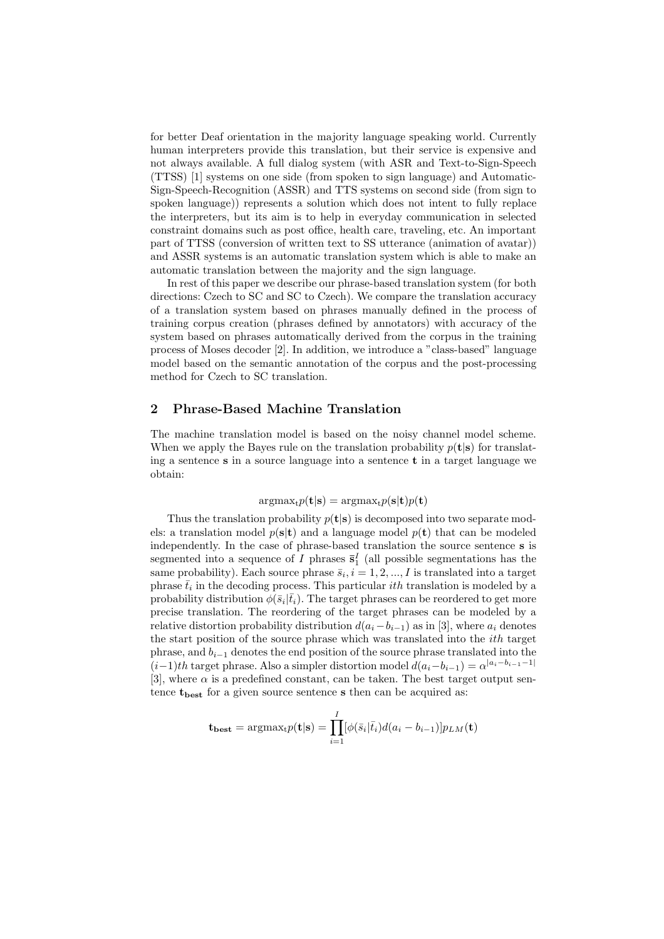for better Deaf orientation in the majority language speaking world. Currently human interpreters provide this translation, but their service is expensive and not always available. A full dialog system (with ASR and Text-to-Sign-Speech (TTSS) [1] systems on one side (from spoken to sign language) and Automatic-Sign-Speech-Recognition (ASSR) and TTS systems on second side (from sign to spoken language)) represents a solution which does not intent to fully replace the interpreters, but its aim is to help in everyday communication in selected constraint domains such as post office, health care, traveling, etc. An important part of TTSS (conversion of written text to SS utterance (animation of avatar)) and ASSR systems is an automatic translation system which is able to make an automatic translation between the majority and the sign language.

In rest of this paper we describe our phrase-based translation system (for both directions: Czech to SC and SC to Czech). We compare the translation accuracy of a translation system based on phrases manually defined in the process of training corpus creation (phrases defined by annotators) with accuracy of the system based on phrases automatically derived from the corpus in the training process of Moses decoder [2]. In addition, we introduce a "class-based" language model based on the semantic annotation of the corpus and the post-processing method for Czech to SC translation.

#### 2 Phrase-Based Machine Translation

The machine translation model is based on the noisy channel model scheme. When we apply the Bayes rule on the translation probability  $p(\mathbf{t}|\mathbf{s})$  for translating a sentence  $s$  in a source language into a sentence  $t$  in a target language we obtain:

#### $argmax_{t}p(t|s) = argmax_{t}p(s|t)p(t)$

Thus the translation probability  $p(\mathbf{t}|\mathbf{s})$  is decomposed into two separate models: a translation model  $p(s|t)$  and a language model  $p(t)$  that can be modeled independently. In the case of phrase-based translation the source sentence s is segmented into a sequence of I phrases  $\bar{s}_1^I$  (all possible segmentations has the same probability). Each source phrase  $\bar{s}_i$ ,  $i = 1, 2, ..., I$  is translated into a target phrase  $\bar{t}_i$  in the decoding process. This particular *ith* translation is modeled by a probability distribution  $\phi(\bar{s}_i|\bar{t}_i)$ . The target phrases can be reordered to get more precise translation. The reordering of the target phrases can be modeled by a relative distortion probability distribution  $d(a_i-b_{i-1})$  as in [3], where  $a_i$  denotes the start position of the source phrase which was translated into the  $ith$  target phrase, and  $b_{i-1}$  denotes the end position of the source phrase translated into the  $(i-1)th$  target phrase. Also a simpler distortion model  $d(a_i-b_{i-1}) = \alpha^{|a_i-b_{i-1}-1|}$ [3], where  $\alpha$  is a predefined constant, can be taken. The best target output sentence  $t_{best}$  for a given source sentence s then can be acquired as:

$$
\mathbf{t_{best}} = \mathrm{argmax}_{\mathbf{t}} p(\mathbf{t}|\mathbf{s}) = \prod_{i=1}^{I} [\phi(\bar{s}_i|\bar{t}_i) d(a_i - b_{i-1})] p_{LM}(\mathbf{t})
$$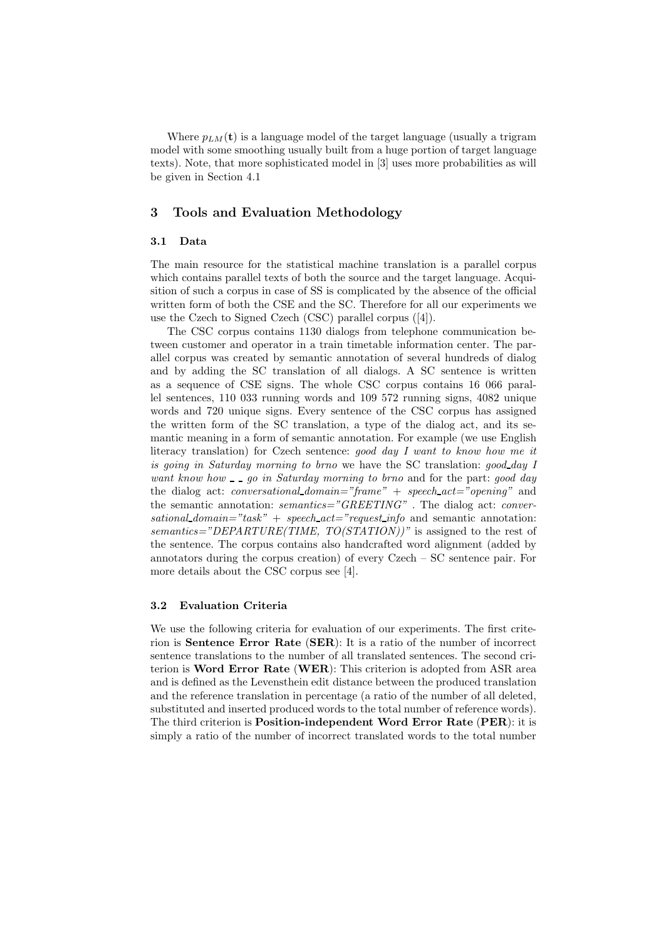Where  $p_{LM}(\mathbf{t})$  is a language model of the target language (usually a trigram model with some smoothing usually built from a huge portion of target language texts). Note, that more sophisticated model in [3] uses more probabilities as will be given in Section 4.1

## 3 Tools and Evaluation Methodology

#### 3.1 Data

The main resource for the statistical machine translation is a parallel corpus which contains parallel texts of both the source and the target language. Acquisition of such a corpus in case of SS is complicated by the absence of the official written form of both the CSE and the SC. Therefore for all our experiments we use the Czech to Signed Czech (CSC) parallel corpus ([4]).

The CSC corpus contains 1130 dialogs from telephone communication between customer and operator in a train timetable information center. The parallel corpus was created by semantic annotation of several hundreds of dialog and by adding the SC translation of all dialogs. A SC sentence is written as a sequence of CSE signs. The whole CSC corpus contains 16 066 parallel sentences, 110 033 running words and 109 572 running signs, 4082 unique words and 720 unique signs. Every sentence of the CSC corpus has assigned the written form of the SC translation, a type of the dialog act, and its semantic meaning in a form of semantic annotation. For example (we use English literacy translation) for Czech sentence: good day I want to know how me it is going in Saturday morning to brno we have the SC translation: good\_day I want know how  $\Box$  go in Saturday morning to brno and for the part: good day the dialog act: *conversational domain="frame"* + speech  $act="opening"$  and the semantic annotation: *semantics="GREETING"*. The dialog act: *conver*sational domain="task" + speech\_act="request info and semantic annotation: semantics="DEPARTURE(TIME, TO(STATION))" is assigned to the rest of the sentence. The corpus contains also handcrafted word alignment (added by annotators during the corpus creation) of every Czech – SC sentence pair. For more details about the CSC corpus see [4].

#### 3.2 Evaluation Criteria

We use the following criteria for evaluation of our experiments. The first criterion is Sentence Error Rate (SER): It is a ratio of the number of incorrect sentence translations to the number of all translated sentences. The second criterion is Word Error Rate (WER): This criterion is adopted from ASR area and is defined as the Levensthein edit distance between the produced translation and the reference translation in percentage (a ratio of the number of all deleted, substituted and inserted produced words to the total number of reference words). The third criterion is Position-independent Word Error Rate (PER): it is simply a ratio of the number of incorrect translated words to the total number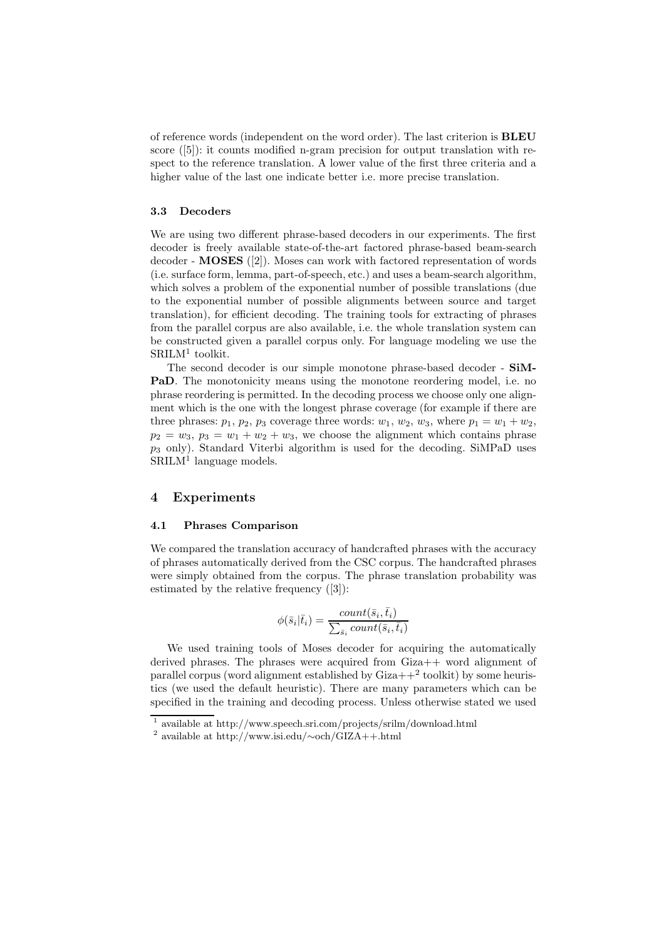of reference words (independent on the word order). The last criterion is BLEU score  $([5])$ : it counts modified n-gram precision for output translation with respect to the reference translation. A lower value of the first three criteria and a higher value of the last one indicate better i.e. more precise translation.

#### 3.3 Decoders

We are using two different phrase-based decoders in our experiments. The first decoder is freely available state-of-the-art factored phrase-based beam-search decoder - MOSES ([2]). Moses can work with factored representation of words (i.e. surface form, lemma, part-of-speech, etc.) and uses a beam-search algorithm, which solves a problem of the exponential number of possible translations (due to the exponential number of possible alignments between source and target translation), for efficient decoding. The training tools for extracting of phrases from the parallel corpus are also available, i.e. the whole translation system can be constructed given a parallel corpus only. For language modeling we use the SRILM<sup>1</sup> toolkit.

The second decoder is our simple monotone phrase-based decoder - SiM-PaD. The monotonicity means using the monotone reordering model, i.e. no phrase reordering is permitted. In the decoding process we choose only one alignment which is the one with the longest phrase coverage (for example if there are three phrases:  $p_1$ ,  $p_2$ ,  $p_3$  coverage three words:  $w_1$ ,  $w_2$ ,  $w_3$ , where  $p_1 = w_1 + w_2$ ,  $p_2 = w_3$ ,  $p_3 = w_1 + w_2 + w_3$ , we choose the alignment which contains phrase  $p_3$  only). Standard Viterbi algorithm is used for the decoding. SiMPaD uses  $SRILM<sup>1</sup>$  language models.

#### 4 Experiments

#### 4.1 Phrases Comparison

We compared the translation accuracy of handcrafted phrases with the accuracy of phrases automatically derived from the CSC corpus. The handcrafted phrases were simply obtained from the corpus. The phrase translation probability was estimated by the relative frequency ([3]):

$$
\phi(\bar{s}_i|\bar{t}_i) = \frac{count(\bar{s}_i, \bar{t}_i)}{\sum_{\bar{s}_i} count(\bar{s}_i, \bar{t}_i)}
$$

We used training tools of Moses decoder for acquiring the automatically derived phrases. The phrases were acquired from Giza++ word alignment of parallel corpus (word alignment established by Giza++<sup>2</sup> toolkit) by some heuristics (we used the default heuristic). There are many parameters which can be specified in the training and decoding process. Unless otherwise stated we used

<sup>1</sup> available at http://www.speech.sri.com/projects/srilm/download.html

<sup>2</sup> available at http://www.isi.edu/∼och/GIZA++.html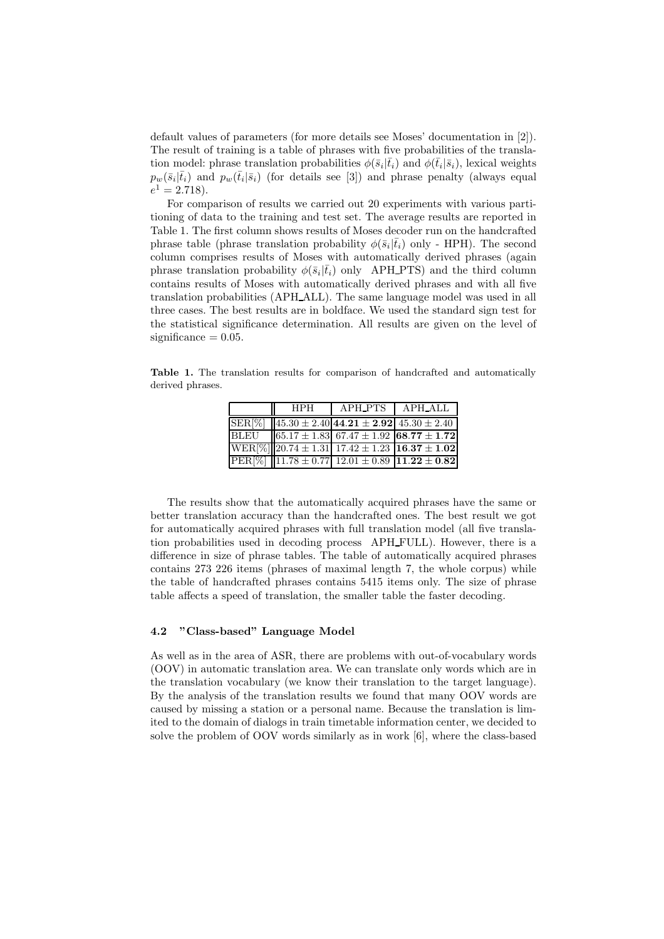default values of parameters (for more details see Moses' documentation in [2]). The result of training is a table of phrases with five probabilities of the translation model: phrase translation probabilities  $\phi(\bar{s}_i|\bar{t}_i)$  and  $\phi(\bar{t}_i|\bar{s}_i)$ , lexical weights  $p_w(\bar{s}_i|\bar{t}_i)$  and  $p_w(\bar{t}_i|\bar{s}_i)$  (for details see [3]) and phrase penalty (always equal  $e^1 = 2.718$ .

For comparison of results we carried out 20 experiments with various partitioning of data to the training and test set. The average results are reported in Table 1. The first column shows results of Moses decoder run on the handcrafted phrase table (phrase translation probability  $\phi(\bar{s}_i|\bar{t}_i)$  only - HPH). The second column comprises results of Moses with automatically derived phrases (again phrase translation probability  $\phi(\bar{s}_i|\bar{t}_i)$  only APH PTS) and the third column contains results of Moses with automatically derived phrases and with all five translation probabilities (APH ALL). The same language model was used in all three cases. The best results are in boldface. We used the standard sign test for the statistical significance determination. All results are given on the level of significance  $= 0.05$ .

Table 1. The translation results for comparison of handcrafted and automatically derived phrases.

| <b>HPH</b> | APH_PTS   APH_ALL                                                  |  |
|------------|--------------------------------------------------------------------|--|
|            | SER[%] $ 45.30 \pm 2.40 $ 44.21 $\pm$ 2.92 45.30 $\pm$ 2.40        |  |
|            | BLEU $(65.17 \pm 1.83)$ 67.47 $\pm$ 1.92 68.77 $\pm$ 1.72          |  |
|            | $ \text{WER}[\%] 20.74 \pm 1.31 17.42 \pm 1.23 16.37 \pm 1.02 $    |  |
|            | $\overline{\text{PER}[\%]}$ 11.78 ± 0.77 12.01 ± 0.89 11.22 ± 0.82 |  |

The results show that the automatically acquired phrases have the same or better translation accuracy than the handcrafted ones. The best result we got for automatically acquired phrases with full translation model (all five translation probabilities used in decoding process APH FULL). However, there is a difference in size of phrase tables. The table of automatically acquired phrases contains 273 226 items (phrases of maximal length 7, the whole corpus) while the table of handcrafted phrases contains 5415 items only. The size of phrase table affects a speed of translation, the smaller table the faster decoding.

### 4.2 "Class-based" Language Model

As well as in the area of ASR, there are problems with out-of-vocabulary words (OOV) in automatic translation area. We can translate only words which are in the translation vocabulary (we know their translation to the target language). By the analysis of the translation results we found that many OOV words are caused by missing a station or a personal name. Because the translation is limited to the domain of dialogs in train timetable information center, we decided to solve the problem of OOV words similarly as in work [6], where the class-based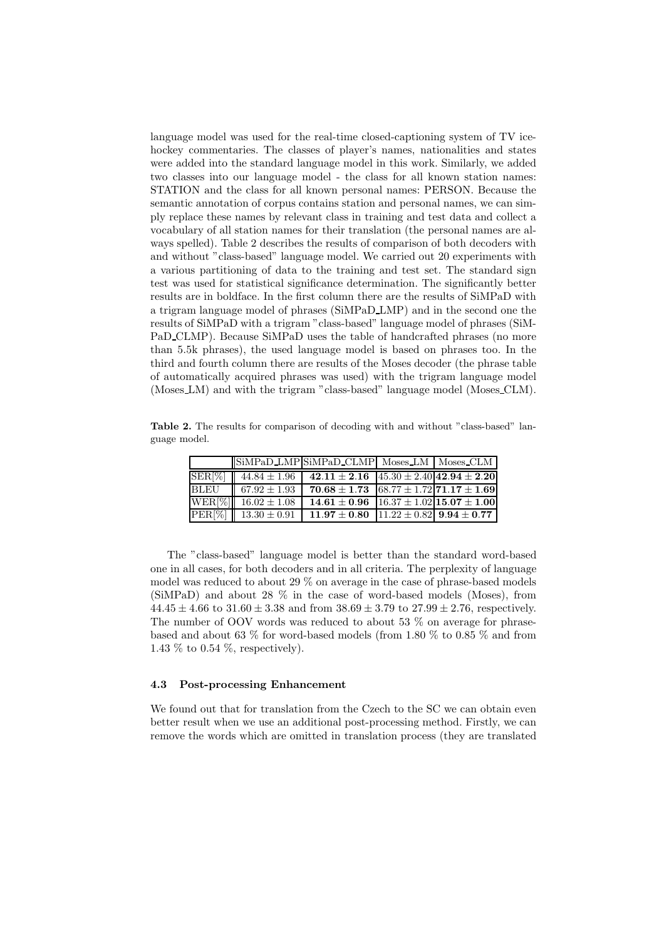language model was used for the real-time closed-captioning system of TV icehockey commentaries. The classes of player's names, nationalities and states were added into the standard language model in this work. Similarly, we added two classes into our language model - the class for all known station names: STATION and the class for all known personal names: PERSON. Because the semantic annotation of corpus contains station and personal names, we can simply replace these names by relevant class in training and test data and collect a vocabulary of all station names for their translation (the personal names are always spelled). Table 2 describes the results of comparison of both decoders with and without "class-based" language model. We carried out 20 experiments with a various partitioning of data to the training and test set. The standard sign test was used for statistical significance determination. The significantly better results are in boldface. In the first column there are the results of SiMPaD with a trigram language model of phrases (SiMPaD LMP) and in the second one the results of SiMPaD with a trigram "class-based" language model of phrases (SiM-PaD CLMP). Because SiMPaD uses the table of handcrafted phrases (no more than 5.5k phrases), the used language model is based on phrases too. In the third and fourth column there are results of the Moses decoder (the phrase table of automatically acquired phrases was used) with the trigram language model (Moses LM) and with the trigram "class-based" language model (Moses CLM).

Table 2. The results for comparison of decoding with and without "class-based" language model.

|           |                                   | SiMPaD_LMP SiMPaD_CLMP   Moses_LM   Moses_CLM                                                       |  |
|-----------|-----------------------------------|-----------------------------------------------------------------------------------------------------|--|
| $SER[\%]$ |                                   | $\parallel$ 44.84 ± 1.96 $\parallel$ 42.11 ± 2.16 $\parallel$ 45.30 ± 2.40 $\parallel$ 42.94 ± 2.20 |  |
|           | BLEU $\parallel$ 67.92 $\pm$ 1.93 | 70.68 ± 1.73 $(68.77 \pm 1.72)$ 71.17 $\pm$ 1.69                                                    |  |
|           | $WER[\%]$ 16.02 ± 1.08            | $14.61 \pm 0.96$ $ 16.37 \pm 1.02 15.07 \pm 1.00 $                                                  |  |
|           | $PER[\%]$ 13.30 ± 0.91            | $11.97 \pm 0.80$ 11.22 $\pm$ 0.82 9.94 $\pm$ 0.77                                                   |  |

The "class-based" language model is better than the standard word-based one in all cases, for both decoders and in all criteria. The perplexity of language model was reduced to about 29 % on average in the case of phrase-based models (SiMPaD) and about 28 % in the case of word-based models (Moses), from  $44.45 \pm 4.66$  to  $31.60 \pm 3.38$  and from  $38.69 \pm 3.79$  to  $27.99 \pm 2.76$ , respectively. The number of OOV words was reduced to about 53 % on average for phrasebased and about 63  $\%$  for word-based models (from 1.80  $\%$  to 0.85  $\%$  and from 1.43 % to 0.54 %, respectively).

#### 4.3 Post-processing Enhancement

We found out that for translation from the Czech to the SC we can obtain even better result when we use an additional post-processing method. Firstly, we can remove the words which are omitted in translation process (they are translated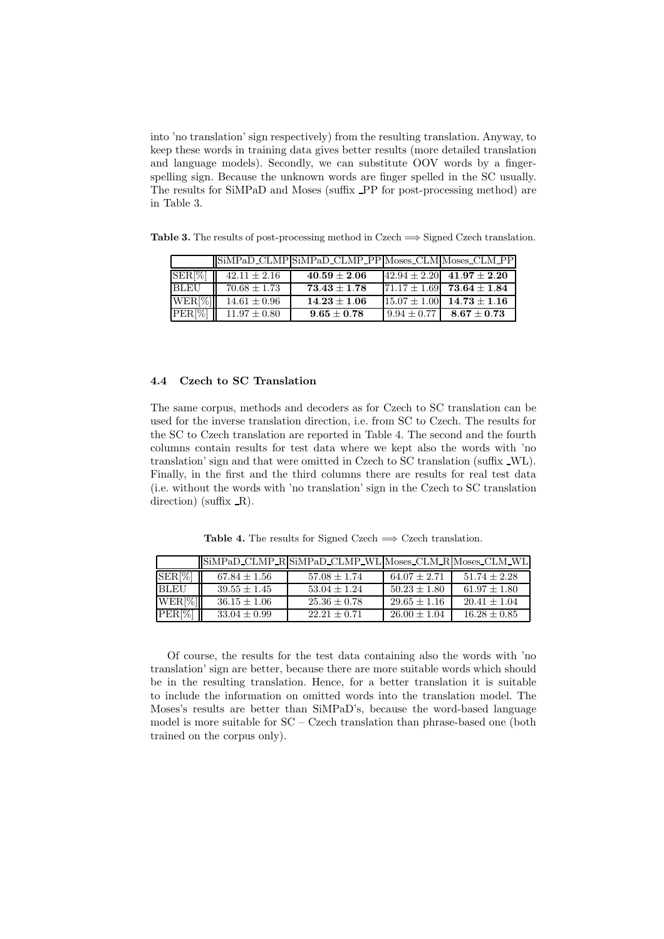into 'no translation' sign respectively) from the resulting translation. Anyway, to keep these words in training data gives better results (more detailed translation and language models). Secondly, we can substitute OOV words by a fingerspelling sign. Because the unknown words are finger spelled in the SC usually. The results for SiMPaD and Moses (suffix PP for post-processing method) are in Table 3.

Table 3. The results of post-processing method in Czech  $\implies$  Signed Czech translation.

|             |                  | SiMPaD_CLMP SiMPaD_CLMP_PP Moses_CLM Moses_CLM_PP |               |                                     |
|-------------|------------------|---------------------------------------------------|---------------|-------------------------------------|
| $SER[\%]$   | $42.11 \pm 2.16$ | $40.59 \pm 2.06$                                  |               | $ 42.94 \pm 2.20 $ 41.97 $\pm 2.20$ |
| <b>BLEU</b> | $70.68 \pm 1.73$ | $73.43 \pm 1.78$                                  |               | $71.17 \pm 1.69$ 73.64 $\pm$ 1.84   |
| $WER[\%]$   | $14.61 \pm 0.96$ | $14.23 \pm 1.06$                                  |               | $15.07 \pm 1.00$ 14.73 $\pm$ 1.16   |
| PER[%]      | $11.97 \pm 0.80$ | $9.65\pm0.78$                                     | $9.94 + 0.77$ | $8.67 \pm 0.73$                     |

#### 4.4 Czech to SC Translation

The same corpus, methods and decoders as for Czech to SC translation can be used for the inverse translation direction, i.e. from SC to Czech. The results for the SC to Czech translation are reported in Table 4. The second and the fourth columns contain results for test data where we kept also the words with 'no translation' sign and that were omitted in Czech to SC translation (suffix WL). Finally, in the first and the third columns there are results for real test data (i.e. without the words with 'no translation' sign in the Czech to SC translation direction) (suffix  $\_R$ ).

Table 4. The results for Signed Czech  $\implies$  Czech translation.

|           |                  | SiMPaD_CLMP_R SiMPaD_CLMP_WL Moses_CLM_R Moses_CLM_WL |                  |                  |
|-----------|------------------|-------------------------------------------------------|------------------|------------------|
| $SER[\%]$ | $67.84 \pm 1.56$ | $57.08 + 1.74$                                        | $64.07 + 2.71$   | $51.74 \pm 2.28$ |
| BLEU      | $39.55 \pm 1.45$ | $53.04 + 1.24$                                        | $50.23 \pm 1.80$ | $61.97 \pm 1.80$ |
| $WER[\%]$ | $36.15 \pm 1.06$ | $25.36 + 0.78$                                        | $29.65 \pm 1.16$ | $20.41 + 1.04$   |
| $PER[\%]$ | $33.04 \pm 0.99$ | $22.21 + 0.71$                                        | $26.00 \pm 1.04$ | $16.28 \pm 0.85$ |

Of course, the results for the test data containing also the words with 'no translation' sign are better, because there are more suitable words which should be in the resulting translation. Hence, for a better translation it is suitable to include the information on omitted words into the translation model. The Moses's results are better than SiMPaD's, because the word-based language model is more suitable for SC – Czech translation than phrase-based one (both trained on the corpus only).